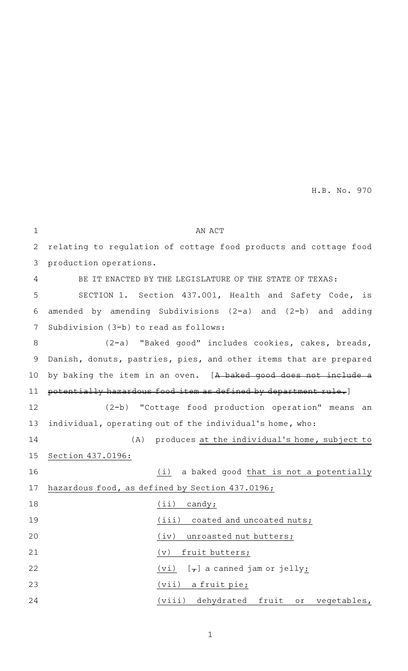| $\mathbf 1$  | AN ACT                                                            |
|--------------|-------------------------------------------------------------------|
| $\mathbf{2}$ | relating to regulation of cottage food products and cottage food  |
| 3            | production operations.                                            |
| 4            | BE IT ENACTED BY THE LEGISLATURE OF THE STATE OF TEXAS:           |
| 5            | SECTION 1. Section 437.001, Health and Safety Code, is            |
| 6            | amended by amending Subdivisions (2-a) and (2-b) and adding       |
| 7            | Subdivision (3-b) to read as follows:                             |
| 8            | (2-a) "Baked good" includes cookies, cakes, breads,               |
| 9            | Danish, donuts, pastries, pies, and other items that are prepared |
| 10           | by baking the item in an oven. [A baked good does not include a   |
| 11           | potentially hazardous food item as defined by department rule.]   |
| 12           | (2-b) "Cottage food production operation" means an                |
| 13           | individual, operating out of the individual's home, who:          |
| 14           | (A) produces at the individual's home, subject to                 |
| 15           | Section 437.0196:                                                 |
| 16           | a baked good that is not a potentially<br>(i)                     |
| 17           | hazardous food, as defined by Section 437.0196;                   |
| 18           | $(iii)$ candy;                                                    |
| 19           | (iii) coated and uncoated nuts;                                   |
| 20           | (iv)<br>unroasted nut butters;                                    |
| 21           | fruit butters;<br>$(\triangledown)$                               |
| 22           | [ <del>,</del> ] a canned jam or jelly <u>;</u><br>(vi)           |
| 23           | (vii)<br>a fruit pie;                                             |
| 24           | (viii) dehydrated fruit or vegetables,                            |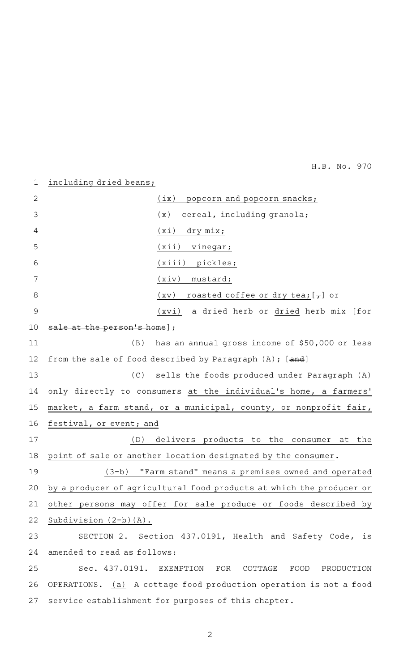## including dried beans; 1

| 2  | (ix)<br>popcorn and popcorn snacks;                                  |
|----|----------------------------------------------------------------------|
| 3  | (x)<br>cereal, including granola;                                    |
| 4  | (xi)<br>dry mix;                                                     |
| 5  | (xii)<br>vinegar;                                                    |
| 6  | (xiii) pickles;                                                      |
| 7  | (xiv)<br>mustard;                                                    |
| 8  | roasted coffee or dry tea; $[\tau]$ or<br>(xv)                       |
| 9  | $(xvi)$ a dried herb or dried herb mix [ $f \rightarrow$             |
| 10 | the person's home];                                                  |
| 11 | has an annual gross income of \$50,000 or less<br>(B)                |
| 12 | from the sale of food described by Paragraph $(A)$ ; $[and]$         |
| 13 | (C)<br>sells the foods produced under Paragraph (A)                  |
| 14 | only directly to consumers at the individual's home, a farmers'      |
| 15 | market, a farm stand, or a municipal, county, or nonprofit fair,     |
| 16 | festival, or event; and                                              |
| 17 | delivers products to the consumer at the<br>(D)                      |
| 18 | point of sale or another location designated by the consumer.        |
| 19 | (3-b) "Farm stand" means a premises owned and operated               |
| 20 | by a producer of agricultural food products at which the producer or |
| 21 | other persons may offer for sale produce or foods described by       |
| 22 | Subdivision $(2-b)(A)$ .                                             |
| 23 | SECTION 2. Section 437.0191, Health and Safety Code, is              |
| 24 | amended to read as follows:                                          |
| 25 | Sec. 437.0191.<br>EXEMPTION<br>FOR<br>COTTAGE<br>FOOD<br>PRODUCTION  |
| 26 | OPERATIONS. (a) A cottage food production operation is not a food    |
| 27 | service establishment for purposes of this chapter.                  |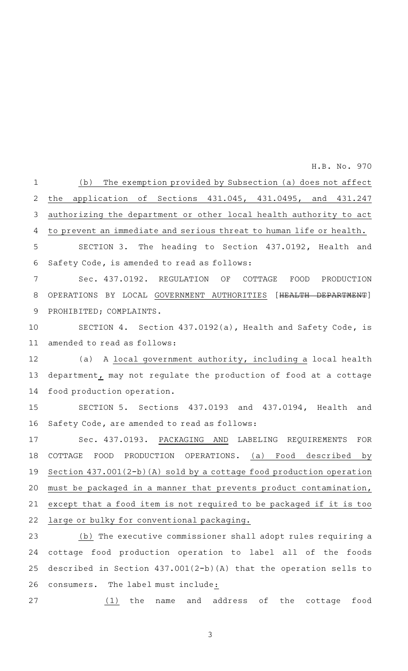(b) The exemption provided by Subsection (a) does not affect the application of Sections 431.045, 431.0495, and 431.247 authorizing the department or other local health authority to act to prevent an immediate and serious threat to human life or health. 1 2 3 4

SECTION 3. The heading to Section 437.0192, Health and Safety Code, is amended to read as follows: 5 6

Sec. 437.0192. REGULATION OF COTTAGE FOOD PRODUCTION OPERATIONS BY LOCAL GOVERNMENT AUTHORITIES [HEALTH DEPARTMENT] PROHIBITED; COMPLAINTS. 7 8 9

SECTION 4. Section 437.0192(a), Health and Safety Code, is amended to read as follows: 10 11

(a) A local government authority, including a local health department, may not regulate the production of food at a cottage food production operation. 12 13 14

SECTION 5. Sections 437.0193 and 437.0194, Health and Safety Code, are amended to read as follows: 15 16

Sec. 437.0193. PACKAGING AND LABELING REQUIREMENTS FOR COTTAGE FOOD PRODUCTION OPERATIONS. (a) Food described by Section 437.001(2-b)(A) sold by a cottage food production operation must be packaged in a manner that prevents product contamination, except that a food item is not required to be packaged if it is too large or bulky for conventional packaging. 17 18 19 20 21 22

 $(b)$  The executive commissioner shall adopt rules requiring a cottage food production operation to label all of the foods described in Section 437.001(2-b)(A) that the operation sells to consumers. The label must include: 23 24 25 26

27

(1) the name and address of the cottage food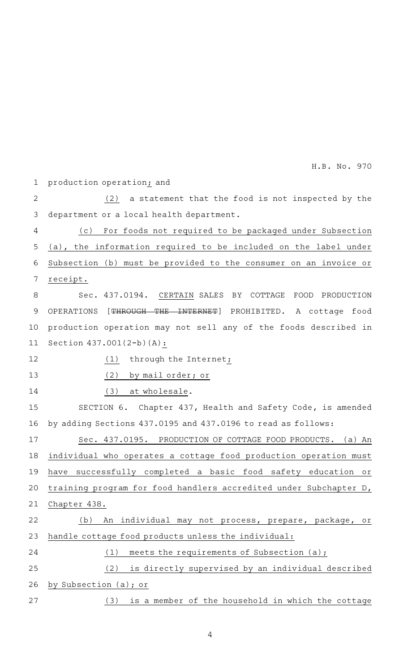production operation; and  $(2)$  a statement that the food is not inspected by the department or a local health department. (c) For foods not required to be packaged under Subsection (a), the information required to be included on the label under Subsection (b) must be provided to the consumer on an invoice or receipt. Sec. 437.0194. CERTAIN SALES BY COTTAGE FOOD PRODUCTION OPERATIONS [THROUGH THE INTERNET] PROHIBITED. A cottage food production operation may not sell any of the foods described in Section 437.001(2-b)(A): (1) through the Internet<sub>i</sub> (2) by mail order; or (3) at wholesale. SECTION 6. Chapter 437, Health and Safety Code, is amended by adding Sections 437.0195 and 437.0196 to read as follows: Sec. 437.0195. PRODUCTION OF COTTAGE FOOD PRODUCTS. (a) An individual who operates a cottage food production operation must have successfully completed a basic food safety education or training program for food handlers accredited under Subchapter D, Chapter 438. (b) An individual may not process, prepare, package, or handle cottage food products unless the individual: (1) meets the requirements of Subsection  $(a)$ ; (2) is directly supervised by an individual described by Subsection (a); or (3) is a member of the household in which the cottage 1 2 3 4 5 6 7 8 9 10 11 12 13 14 15 16 17 18 19 20 21 22 23 24 25 26 27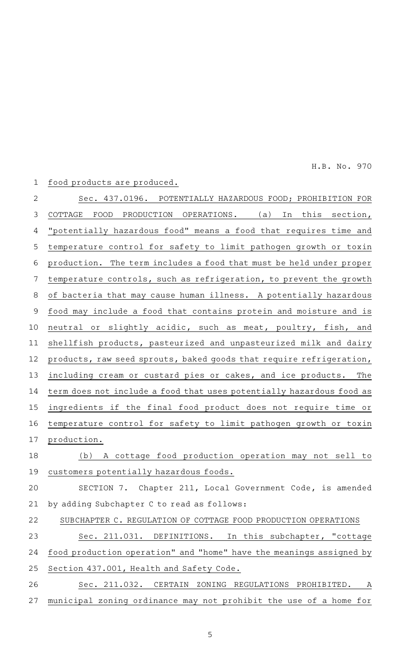## food products are produced. Sec. 437.0196. POTENTIALLY HAZARDOUS FOOD; PROHIBITION FOR COTTAGE FOOD PRODUCTION OPERATIONS. (a) In this section, "potentially hazardous food" means a food that requires time and temperature control for safety to limit pathogen growth or toxin production. The term includes a food that must be held under proper temperature controls, such as refrigeration, to prevent the growth of bacteria that may cause human illness. A potentially hazardous food may include a food that contains protein and moisture and is neutral or slightly acidic, such as meat, poultry, fish, and shellfish products, pasteurized and unpasteurized milk and dairy products, raw seed sprouts, baked goods that require refrigeration, including cream or custard pies or cakes, and ice products. The term does not include a food that uses potentially hazardous food as ingredients if the final food product does not require time or temperature control for safety to limit pathogen growth or toxin production. (b) A cottage food production operation may not sell to customers potentially hazardous foods. SECTION 7. Chapter 211, Local Government Code, is amended by adding Subchapter C to read as follows: SUBCHAPTER C. REGULATION OF COTTAGE FOOD PRODUCTION OPERATIONS Sec. 211.031. DEFINITIONS. In this subchapter, "cottage food production operation" and "home" have the meanings assigned by Section 437.001, Health and Safety Code. Sec. 211.032. CERTAIN ZONING REGULATIONS PROHIBITED. A municipal zoning ordinance may not prohibit the use of a home for 1 2 3 4 5 6 7 8 9 10 11 12 13 14 15 16 17 18 19 20 21 22 23 24 25 26 27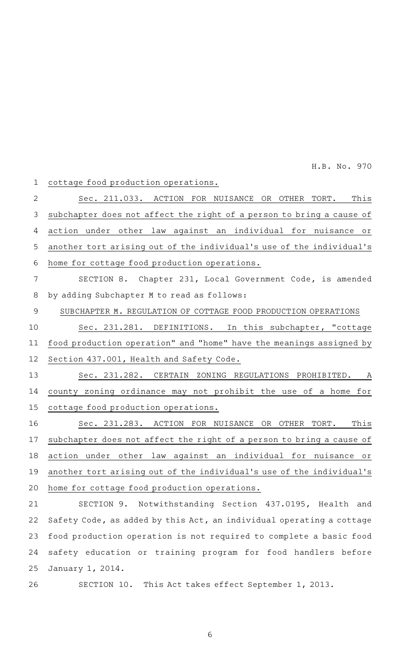cottage food production operations. Sec. 211.033. ACTION FOR NUISANCE OR OTHER TORT. This subchapter does not affect the right of a person to bring a cause of action under other law against an individual for nuisance or another tort arising out of the individual 's use of the individual 's home for cottage food production operations. SECTION 8. Chapter 231, Local Government Code, is amended by adding Subchapter M to read as follows: SUBCHAPTER M. REGULATION OF COTTAGE FOOD PRODUCTION OPERATIONS Sec. 231.281. DEFINITIONS. In this subchapter, "cottage food production operation" and "home" have the meanings assigned by Section 437.001, Health and Safety Code. Sec. 231.282. CERTAIN ZONING REGULATIONS PROHIBITED. A county zoning ordinance may not prohibit the use of a home for cottage food production operations. Sec. 231.283. ACTION FOR NUISANCE OR OTHER TORT. This subchapter does not affect the right of a person to bring a cause of action under other law against an individual for nuisance or another tort arising out of the individual 's use of the individual 's home for cottage food production operations. 1 2 3 4 5 6 7 8 9 10 11 12 13 14 15 16 17 18 19 20

SECTION 9. Notwithstanding Section 437.0195, Health and Safety Code, as added by this Act, an individual operating a cottage food production operation is not required to complete a basic food safety education or training program for food handlers before January 1, 2014. 21 22 23 24 25

SECTION 10. This Act takes effect September 1, 2013. 26